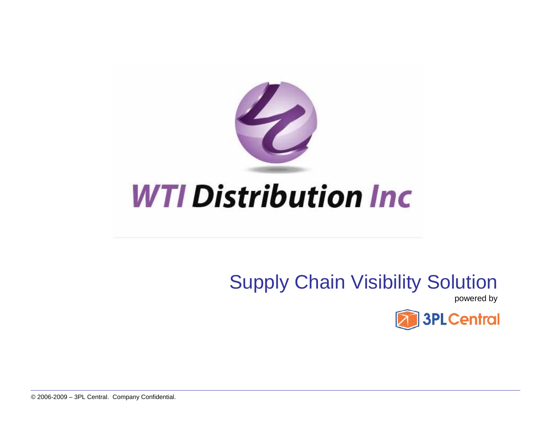

## Supply Chain Visibility Solution

powered by

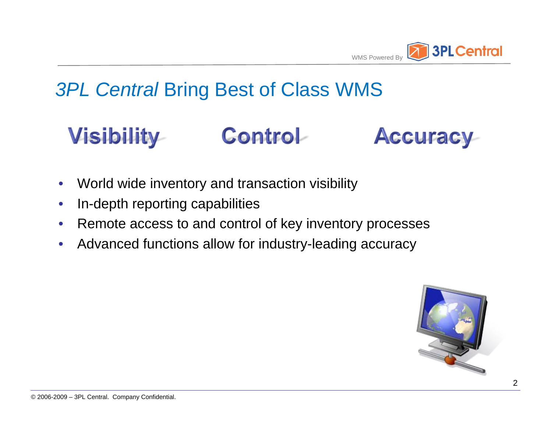

#### **3PL Central Bring Best of Class WMS**

#### **Control-Visibility Accuracy**

- World wide inventory and transaction visibility
- In-depth reporting capabilities
- Remote access to and control of key inventory processes
- Advanced functions allow for industry-leading accuracy

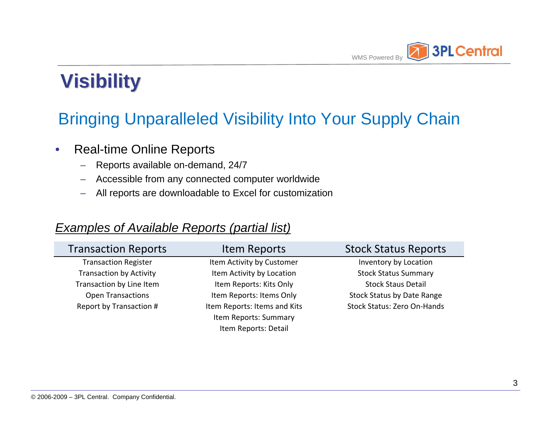

### Bringing Unparalleled Visibility Into Your Supply Chain

- Real-time Online Reports
	- Reports available on-demand, 24/7
	- Accessible from any connected computer worldwide
	- All reports are downloadable to Excel for customization

#### *Examples of Available Reports (partial list)*

| <b>Transaction Reports</b>     | Item Reports                 | <b>Stock Status Reports</b>       |
|--------------------------------|------------------------------|-----------------------------------|
| <b>Transaction Register</b>    | Item Activity by Customer    | Inventory by Location             |
| <b>Transaction by Activity</b> | Item Activity by Location    | <b>Stock Status Summary</b>       |
| Transaction by Line Item       | Item Reports: Kits Only      | <b>Stock Staus Detail</b>         |
| <b>Open Transactions</b>       | Item Reports: Items Only     | <b>Stock Status by Date Range</b> |
| Report by Transaction #        | Item Reports: Items and Kits | Stock Status: Zero On-Hands       |
|                                | Item Reports: Summary        |                                   |
|                                | Item Reports: Detail         |                                   |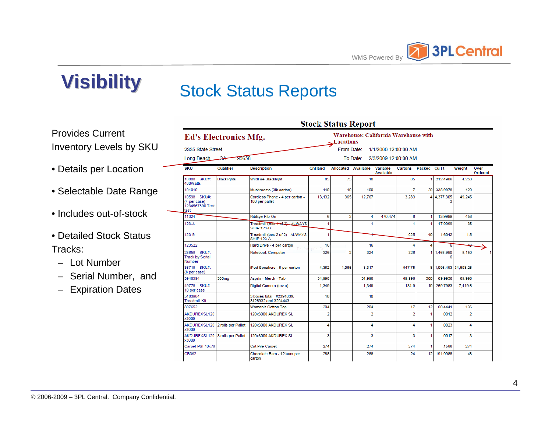

#### Stock Status Reports

Provides Current Inventory Levels by SKU

- Details per Location
- Selectable Date Range
- Includes out-of-stock
- Detailed Stock Status Tracks:
	- Lot Number
	- Serial Number, and
	- Expiration Dates

|                                                        | <b>Ed's Electronics Mfg.</b>    |                                                      |                | Locations           |                | <b>Warehouse: California Warehouse with</b> |                      |              |             |                     |                 |
|--------------------------------------------------------|---------------------------------|------------------------------------------------------|----------------|---------------------|----------------|---------------------------------------------|----------------------|--------------|-------------|---------------------|-----------------|
| 2335 State Street                                      |                                 |                                                      |                | From Date:          |                | 1/1/2000 12:00:00 AM                        |                      |              |             |                     |                 |
| Long Beach                                             | سبھ<br>95658                    |                                                      |                |                     | To Date:       | 2/3/2009 12:00:00 AM                        |                      |              |             |                     |                 |
| <b>SKU</b>                                             | Qualifier                       | <b>Description</b>                                   | OnHand         | Allocated Available |                | Variable<br><b>Available</b>                | Cartons Packed Cu Ft |              |             | Weight              | Over<br>Ordered |
| 10000 SKU#:<br>400Watts                                | <b>Blacklights</b>              | <b>WildFire Blacklight</b>                           | 85             | 75                  | 10             |                                             | 85                   |              | 212.4986    | 4,250               |                 |
| 101010                                                 |                                 | Mushrooms (3lb carton)                               | 140            | 40                  | 100            |                                             | 7                    | 20           | 335.9978    | 420                 |                 |
| 10598 SKU#:<br>(4 per case)<br>1234567890 Test<br>test |                                 | Cordless Phone - 4 per carton -<br>100 per pallet    | 13,132         | 365                 | 12.767         |                                             | 3.283                | 4            | 4,377.305   | 49.245              |                 |
| 11324                                                  |                                 | RibEye Rib-On                                        | 6              | $\overline{2}$      | 4              | 470.474                                     | 6                    | 1            | 13,9999     | 456                 |                 |
| $123-A$                                                |                                 | Treadmill (Box 1 of 2) _ ALWAYS<br><b>SHIP 123-B</b> | 1              |                     |                |                                             |                      | 1            | 17.9999     | 35                  |                 |
| 123-B                                                  |                                 | Treadmill (box 2 of 2) - ALWAYS<br><b>SHIP 123-A</b> | 1              |                     |                |                                             | .025                 | 40           | 1.6042      | 1.5                 |                 |
| 123522                                                 |                                 | Hard Drive - 4 per carton                            | 16             |                     | 16             |                                             |                      | 4            |             | 40.                 |                 |
| 23658 SKU#:<br><b>Track by Serial</b><br>Number        |                                 | Notebook Computer                                    | 326            | $\overline{2}$      | 324            |                                             | 326                  | $\mathbf{1}$ | 1,466,990   | 8,150               |                 |
| 36718 SKU#:<br>(8 per case)                            |                                 | iPod Speakers - 8 per carton                         | 4.382          | 1.065               | 3.317          |                                             | 547.75               | 8            |             | 1,095.493 34,508.25 |                 |
| 3948394                                                | 300mg                           | Asprin - Merck - Tab                                 | 34.998         |                     | 34.998         |                                             | 69.996               | 500          | 69.9956     | 69.996              |                 |
| 49778 SKU#:<br>10 per case                             |                                 | Digital Camera (rev a)                               | 1.349          |                     | 1.349          |                                             | 134.9                | 10           | 269.7983    | 7.419.5             |                 |
| 5483984<br><b>Treadmill Kit</b>                        |                                 | 3 boxes total - #2394839.<br>3128932 and 3294443     | 10             |                     | 10             |                                             |                      |              |             |                     |                 |
| 897652                                                 |                                 | Women's Cotton Top                                   | 204            |                     | 204            |                                             | 17                   | 12           | 60 4441     | 136                 |                 |
| <b>AKDUREXSL120</b><br>x3000                           |                                 | 120x3000 AKDUREX SL                                  | $\overline{2}$ |                     | $\overline{2}$ |                                             | $\overline{2}$       | 1            | .0012       | $\overline{2}$      |                 |
| AKDUREXSL120 2 rolls per Pallet<br>x3000               |                                 | 120x3000 AKDUREX SL                                  | 4              |                     | 4              |                                             | 4                    | 1            | .0023       | 4                   |                 |
| x3000                                                  | AKDUREXSL120 3 rolls per Pallet | 120x3000 AKDUREX SL                                  | 3              |                     | 3              |                                             | 3                    | 1            | .0017       | 3                   |                 |
| Carpet PSI 10x78                                       |                                 | <b>Cut Pile Carpet</b>                               | 274            |                     | 274            |                                             | 274                  | 1            | 1586        | 274                 |                 |
| CB392                                                  |                                 | Chocolate Bars - 12 bars per<br>carton               | 288            |                     | 288            |                                             | 24                   |              | 12 191.9988 | 48                  |                 |

 $\mathbf{g}_{\text{total}}$   $\mathbf{g}_{\text{total}}$   $\mathbf{D}_{\text{model}}$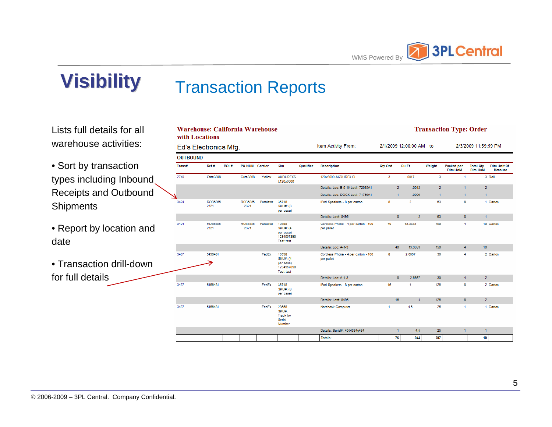

#### Transaction Reports

Lists full details for all warehouse activities:

• Sort by transaction types including Inbound Receipts and Outbound **Shipments** 

• Report by location and date

• Transaction drill-down for full details

|                 | Warehouse: California Warehouse<br>with Locations |      |                 |           |                                                                          |           |                                                   |         |                |                         |                | <b>Transaction Type: Order</b> |                                    |                                      |
|-----------------|---------------------------------------------------|------|-----------------|-----------|--------------------------------------------------------------------------|-----------|---------------------------------------------------|---------|----------------|-------------------------|----------------|--------------------------------|------------------------------------|--------------------------------------|
|                 | Ed's Electronics Mfg.                             |      |                 |           |                                                                          |           | Item Activity From:                               |         |                | 2/1/2009 12:00:00 AM to |                |                                | 2/3/2009 11:59:59 PM               |                                      |
| <b>OUTBOUND</b> |                                                   |      |                 |           |                                                                          |           |                                                   |         |                |                         |                |                                |                                    |                                      |
| Trans#          | Ref #                                             | BOL# | PO NUM Carrier  |           | Sku                                                                      | Qualifier | <b>Description</b>                                | Qty Ord |                | Cu Ft                   | Weight         | Packed per<br><b>Dim UoM</b>   | <b>Total Oty</b><br><b>Dim UoM</b> | <b>Dim Unit Of</b><br><b>Measure</b> |
| 2740            | Care3898                                          |      | Care3898        | Yellow    | <b>AKDUREXS</b><br>L120x3000                                             |           | 120x3000 AKDUREX SL                               | 3       |                | .0017                   | 3              | 1                              |                                    | 3 Roll                               |
|                 |                                                   |      |                 |           |                                                                          |           | Details: Loc: B-5-15 Lot#: 72635A1                |         | $\overline{2}$ | .0012                   | $\overline{2}$ | ٠                              | $\overline{2}$                     |                                      |
|                 |                                                   |      |                 |           |                                                                          |           | Details: Loc: DOCK Lot#: 71796A1                  |         | $\mathbf{1}$   | .0006                   | $\mathbf{1}$   | м                              | $\mathbf{1}$                       |                                      |
| 3424            | ROB5855<br>2321                                   |      | ROB5855<br>2321 | Puralator | 36718<br><b>SKU#: (8)</b><br>per case)                                   |           | iPod Speakers - 8 per carton                      | 8       |                | $\overline{2}$          | 63             | 8                              |                                    | 1 Carton                             |
|                 |                                                   |      |                 |           |                                                                          |           | Details: Lot#: 8495                               |         | $\mathbf{8}$   | $\overline{2}$          | 63             | $\mathbf{8}$                   | $\mathbf{1}$                       |                                      |
| 3424            | ROB5855<br>2321                                   |      | ROB5855<br>2321 | Puralator | 10598<br><b>SKU#: (4)</b><br>per case)<br>1234567890<br><b>Test test</b> |           | Cordless Phone - 4 per carton - 100<br>per pallet | 40      |                | 13.3333                 | 150            | 4                              |                                    | 10 Carton                            |
|                 |                                                   |      |                 |           |                                                                          |           | Details: Loc: A-1-3                               |         | 40             | 13.3333                 | 150            | 4                              | 10                                 |                                      |
| 3437            | 5456431                                           |      |                 | FedEx     | 10598<br><b>SKU#: (4)</b><br>per case)<br>1234567890<br><b>Test test</b> |           | Cordless Phone - 4 per carton - 100<br>per pallet | 8       |                | 2.6667                  | 30             | 4                              |                                    | 2 Carton                             |
|                 |                                                   |      |                 |           |                                                                          |           | Details: Loc: A-1-3                               |         | $\mathbf{8}$   | 2.6667                  | 30             | 4                              | $\overline{2}$                     |                                      |
| 3437            | 5456431                                           |      |                 | FedEx     | 36718<br><b>SKU#: (8)</b><br>per case)                                   |           | iPod Speakers - 8 per carton                      | 16      |                | 4                       | 126            | 8                              |                                    | 2 Carton                             |
|                 |                                                   |      |                 |           |                                                                          |           | Details: Lot#: 8495                               |         | 16             | $\overline{4}$          | 126            | 8                              | $\overline{2}$                     |                                      |
| 3437            | 5456431                                           |      |                 | FedEx     | 23658<br>SKU#:<br><b>Track by</b><br>Serial<br>Number                    |           | Notebook Computer                                 | 1       |                | 4.5                     | 25             | 4                              |                                    | 1 Carton                             |
|                 |                                                   |      |                 |           |                                                                          |           | Details: Serial#: 4554334g434                     |         | 1              | 4.5                     | 25             | 1                              | 1                                  |                                      |
|                 |                                                   |      |                 |           |                                                                          |           | Totals:                                           |         | 76             | .044                    | 397            |                                | 19                                 |                                      |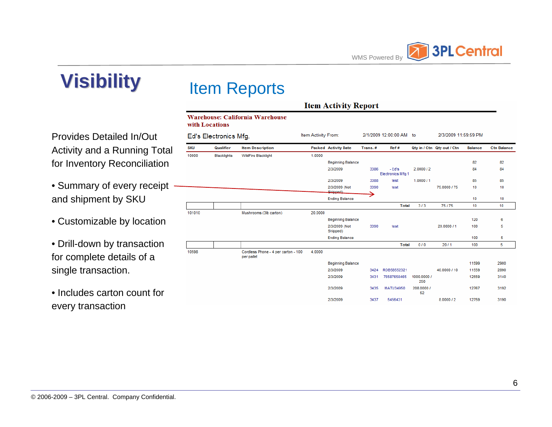

#### Item Reports

 $\sqrt{2}$ ٦

Provides Detailed In/Out Activity and a Running Total for Inventory Reconciliation

- Summary of every receipt and shipment by SKU
- Customizable by location
- Drill-down by transaction for complete details of a single transaction.
- Includes carton count for every transaction

| Item Activity From:<br>2/1/2009 12:00:00 AM to<br>2/3/2009 11:59:59 PM<br>Ed's Electronics Mfg.<br>Qualifier<br><b>Item Description</b><br><b>Packed Activity Date</b><br>Ref#<br>Qty in / Ctn Qty out / Ctn<br><b>Ctn Balance</b><br>Trans.#<br><b>Balance</b><br><b>Blacklights</b><br><b>WildFire Blacklight</b><br>1.0000<br>82<br>82<br><b>Beginning Balance</b><br>- Ed's<br>3386<br>2.0000/2<br>84<br>2/3/2009<br>84<br>Electronics Mfg.1<br>85<br>2/3/2009<br>1.000011<br>85<br>3388<br>test<br>2/3/2009 (Not<br>3390<br>75,0000 / 75<br>10<br>10<br>test<br>Shinned)<br><b>Ending Balance</b><br>10<br>10<br>3/3<br>75/75<br><b>Total</b><br>10<br>10<br>Mushrooms (3lb carton)<br>20.0000<br>120<br>6<br><b>Beginning Balance</b><br>20,0000 / 1<br>5<br>2/3/2009 (Not<br>3390<br>100<br>test<br>Shipped)<br><b>Ending Balance</b><br>100<br>5<br>5<br>0/0<br><b>Total</b><br>20/1<br>100<br>Cordless Phone - 4 per carton - 100<br>4.0000 |  |
|------------------------------------------------------------------------------------------------------------------------------------------------------------------------------------------------------------------------------------------------------------------------------------------------------------------------------------------------------------------------------------------------------------------------------------------------------------------------------------------------------------------------------------------------------------------------------------------------------------------------------------------------------------------------------------------------------------------------------------------------------------------------------------------------------------------------------------------------------------------------------------------------------------------------------------------------------|--|
| <b>SKU</b><br>0000<br>01010<br>0598                                                                                                                                                                                                                                                                                                                                                                                                                                                                                                                                                                                                                                                                                                                                                                                                                                                                                                                  |  |
|                                                                                                                                                                                                                                                                                                                                                                                                                                                                                                                                                                                                                                                                                                                                                                                                                                                                                                                                                      |  |
|                                                                                                                                                                                                                                                                                                                                                                                                                                                                                                                                                                                                                                                                                                                                                                                                                                                                                                                                                      |  |
|                                                                                                                                                                                                                                                                                                                                                                                                                                                                                                                                                                                                                                                                                                                                                                                                                                                                                                                                                      |  |
|                                                                                                                                                                                                                                                                                                                                                                                                                                                                                                                                                                                                                                                                                                                                                                                                                                                                                                                                                      |  |
|                                                                                                                                                                                                                                                                                                                                                                                                                                                                                                                                                                                                                                                                                                                                                                                                                                                                                                                                                      |  |
|                                                                                                                                                                                                                                                                                                                                                                                                                                                                                                                                                                                                                                                                                                                                                                                                                                                                                                                                                      |  |
|                                                                                                                                                                                                                                                                                                                                                                                                                                                                                                                                                                                                                                                                                                                                                                                                                                                                                                                                                      |  |
|                                                                                                                                                                                                                                                                                                                                                                                                                                                                                                                                                                                                                                                                                                                                                                                                                                                                                                                                                      |  |
|                                                                                                                                                                                                                                                                                                                                                                                                                                                                                                                                                                                                                                                                                                                                                                                                                                                                                                                                                      |  |
|                                                                                                                                                                                                                                                                                                                                                                                                                                                                                                                                                                                                                                                                                                                                                                                                                                                                                                                                                      |  |
|                                                                                                                                                                                                                                                                                                                                                                                                                                                                                                                                                                                                                                                                                                                                                                                                                                                                                                                                                      |  |
|                                                                                                                                                                                                                                                                                                                                                                                                                                                                                                                                                                                                                                                                                                                                                                                                                                                                                                                                                      |  |
|                                                                                                                                                                                                                                                                                                                                                                                                                                                                                                                                                                                                                                                                                                                                                                                                                                                                                                                                                      |  |
| per pallet                                                                                                                                                                                                                                                                                                                                                                                                                                                                                                                                                                                                                                                                                                                                                                                                                                                                                                                                           |  |
| <b>Beginning Balance</b><br>11599<br>2900                                                                                                                                                                                                                                                                                                                                                                                                                                                                                                                                                                                                                                                                                                                                                                                                                                                                                                            |  |
| 2/3/2009<br>ROB58552321<br>40,0000 / 10<br>11559<br>2890<br>3424                                                                                                                                                                                                                                                                                                                                                                                                                                                                                                                                                                                                                                                                                                                                                                                                                                                                                     |  |
| 1000.0000 /<br>2/3/2009<br>76587658465<br>12559<br>3140<br>3431<br>250                                                                                                                                                                                                                                                                                                                                                                                                                                                                                                                                                                                                                                                                                                                                                                                                                                                                               |  |
| 208.0000 /<br>2/3/2009<br>3435<br><b>MATU34950</b><br>12767<br>3192<br>52                                                                                                                                                                                                                                                                                                                                                                                                                                                                                                                                                                                                                                                                                                                                                                                                                                                                            |  |
| 3437<br>8.0000/2<br>12759<br>3190<br>2/3/2009<br>5456431                                                                                                                                                                                                                                                                                                                                                                                                                                                                                                                                                                                                                                                                                                                                                                                                                                                                                             |  |

**Item Activity Report**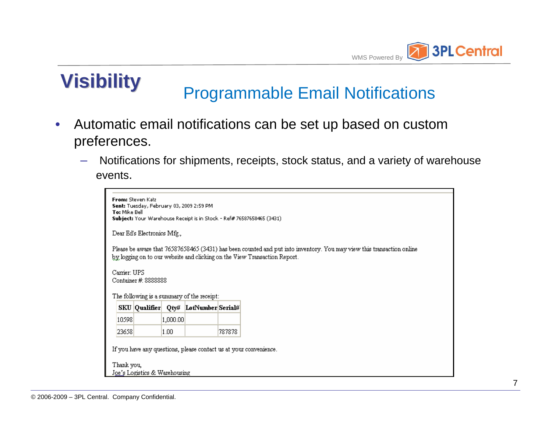

# **Visibility** Programmable Email Notifications

- Automatic email notifications can be set up based on custom preferences.
	- Notifications for shipments, receipts, stock status, and a variety of warehouse events.

| To: Mike Bell | From: Steven Katz           |          | Sent: Tuesday, February 03, 2009 2:59 PM   |        | Subject: Your Warehouse Receipt is in Stock - Ref# 76587658465 (3431).                                                                                                                             |
|---------------|-----------------------------|----------|--------------------------------------------|--------|----------------------------------------------------------------------------------------------------------------------------------------------------------------------------------------------------|
|               | Dear Ed's Electronics Mfg., |          |                                            |        |                                                                                                                                                                                                    |
|               |                             |          |                                            |        | Please be aware that 76587658465 (3431) has been counted and put into inventory. You may view this transaction online<br>by logging on to our website and clicking on the View Transaction Report. |
| Carrier: UPS  |                             |          |                                            |        |                                                                                                                                                                                                    |
|               | Container #: 8888888        |          | The following is a summary of the receipt: |        |                                                                                                                                                                                                    |
|               |                             |          | SKU Qualifier Qty# LotNumber Serial#       |        |                                                                                                                                                                                                    |
| 10598         |                             | 1,000.00 |                                            |        |                                                                                                                                                                                                    |
| 23658         |                             | 1.00     |                                            | 787878 |                                                                                                                                                                                                    |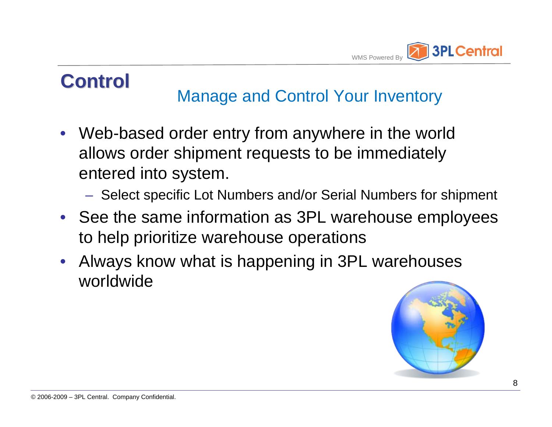

## **Control Control**

### Manage and Control Your Inventory

- Web-based order entry from anywhere in the world allows order shipment requests to be immediately entered into system.
	- Select specific Lot Numbers and/or Serial Numbers for shipment
- See the same information as 3PL warehouse employees to help prioritize warehouse operations
- Always know what is happening in 3PL warehouses worldwide

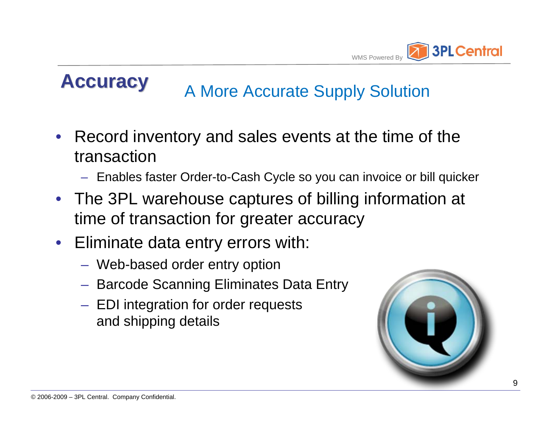

# **Accuracy A More Accurate Supply Solution**

- Record inventory and sales events at the time of the transaction
	- Enables faster Order-to-Cash Cycle so you can invoice or bill quicker
- The 3PL warehouse captures of billing information at time of transaction for greater accuracy
- Eliminate data entry errors with:
	- Web-based order entry option
	- Barcode Scanning Eliminates Data Entry
	- EDI integration for order requests and shipping details

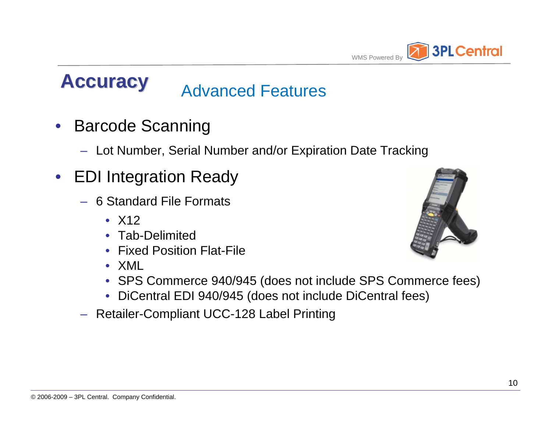

# **Accuracy Advanced Features**

- Barcode Scanning
	- Lot Number, Serial Number and/or Expiration Date Tracking
- EDI Integration Ready
	- 6 Standard File Formats
		- $\bullet$  X12
		- Tab-Delimited
		- Fixed Position Flat-File
		- XML
		- SPS Commerce 940/945 (does not include SPS Commerce fees)
		- DiCentral EDI 940/945 (does not include DiCentral fees)
	- Retailer-Compliant UCC-128 Label Printing

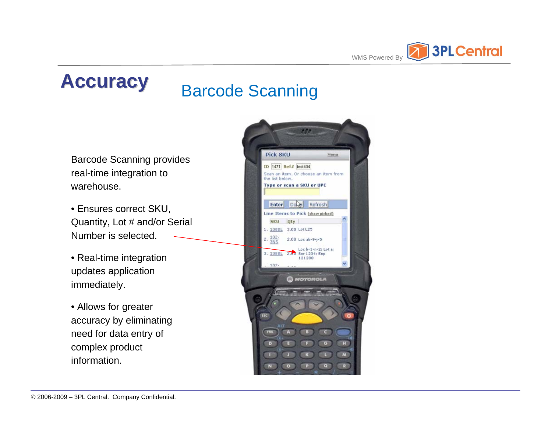

# **Accuracy Barcode Scanning**

Barcode Scanning provides real-time integration to warehouse.

• Ensures correct SKU, Quantity, Lot # and/or Serial Number is selected.

• Real-time integration updates application immediately.

• Allows for greater accuracy by eliminating need for data entry of complex product information.